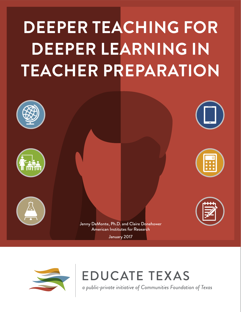# **DEEPER TEACHING FOR DEEPER LEARNING IN TEACHER PREPARATION**





**EDUCATE TEXAS** 

a public-private initiative of Communities Foundation of Texas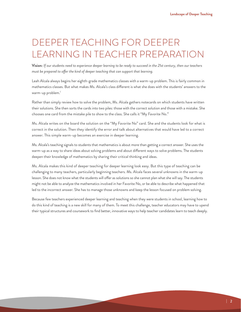# DEEPER TEACHING FOR DEEPER LEARNING IN TEACHER PREPARATION

**Vision:** *If our students need to experience deeper learning to be ready to succeed in the 21st century, then our teachers must be prepared to ofer the kind of deeper teaching that can support that learning.*

Leah Alcala always begins her eighth-grade mathematics classes with a warm-up problem. This is fairly common in mathematics classes. But what makes Ms. Alcala's class diferent is what she does with the students' answers to the warm-up problem.<sup>1</sup>

Rather than simply review how to solve the problem, Ms. Alcala gathers notecards on which students have written their solutions. She then sorts the cards into two piles: those with the correct solution and those with a mistake. She chooses one card from the mistake pile to show to the class. She calls it "My Favorite No."

Ms. Alcala writes on the board the solution on the "My Favorite No" card. She and the students look for what is correct in the solution. Then they identify the error and talk about alternatives that would have led to a correct answer. This simple warm-up becomes an exercise in deeper learning.

Ms. Alcala's teaching signals to students that mathematics is about more than getting a correct answer. She uses the warm-up as a way to share ideas about solving problems and about diferent ways to solve problems. The students deepen their knowledge of mathematics by sharing their critical thinking and ideas.

Ms. Alcala makes this kind of deeper teaching for deeper learning look easy. But this type of teaching can be challenging to many teachers, particularly beginning teachers. Ms. Alcala faces several unknowns in the warm-up lesson. She does not know what the students will offer as solutions so she cannot plan what she will say. The students might not be able to analyze the mathematics involved in her Favorite No, or be able to describe what happened that led to the incorrect answer. She has to manage those unknowns and keep the lesson focused on problem solving.

Because few teachers experienced deeper learning and teaching when they were students in school, learning how to do this kind of teaching is a new skill for many of them. To meet this challenge, teacher educators may have to upend their typical structures and coursework to find better, innovative ways to help teacher candidates learn to teach deeply.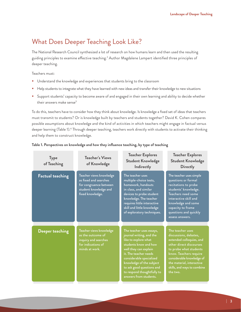# What Does Deeper Teaching Look Like?

The National Research Council synthesized a lot of research on how humans learn and then used the resulting guiding principles to examine effective teaching.<sup>2</sup> Author Magdalene Lampert identified three principles of deeper teaching.

Teachers must:

- **Understand the knowledge and experiences that students bring to the classroom**
- Help students to integrate what they have learned with new ideas and transfer their knowledge to new situations
- **Support students' capacity to become aware of and engaged in their own learning and ability to decide whether** their answers make sense<sup>3</sup>

To do this, teachers have to consider how they think about knowledge. Is knowledge a fixed set of ideas that teachers must transmit to students? Or is knowledge built by teachers and students together? David K. Cohen compares possible assumptions about knowledge and the kind of activities in which teachers might engage in factual versus deeper learning (Table 1).4 Through deeper teaching, teachers work directly with students to activate their thinking and help them to construct knowledge.

| <b>Type</b><br>of Teaching | <b>Teacher's Views</b><br>of Knowledge                                                                                  | <b>Teacher Explores</b><br><b>Student Knowledge</b><br><b>Indirectly</b>                                                                                                                                                                                                                             | <b>Teacher Explores</b><br><b>Student Knowledge</b><br><b>Directly</b>                                                                                                                                                                                    |
|----------------------------|-------------------------------------------------------------------------------------------------------------------------|------------------------------------------------------------------------------------------------------------------------------------------------------------------------------------------------------------------------------------------------------------------------------------------------------|-----------------------------------------------------------------------------------------------------------------------------------------------------------------------------------------------------------------------------------------------------------|
| <b>Factual teaching</b>    | Teacher views knowledge<br>as fixed and searches<br>for congruence between<br>student knowledge and<br>fixed knowledge. | The teacher uses<br>multiple-choice tests,<br>homework, handouts<br>in class, and similar<br>devices to probe student<br>knowledge. The teacher<br>requires little interactive<br>skill and little knowledge<br>of exploratory techniques.                                                           | The teacher uses simple<br>questions or formal<br>recitations to probe<br>students' knowledge.<br>Teachers need some<br>interactive skill and<br>knowledge and some<br>capacity to frame<br>questions and quickly<br>assess answers.                      |
| Deeper teaching            | Teacher views knowledge<br>as the outcome of<br>inquiry and searches<br>for indications of<br>minds at work.            | The teacher uses essays,<br>journal writing, and the<br>like to explore what<br>students know and how<br>well they can explain<br>it. The teacher needs<br>considerable specialized<br>knowledge of the subject<br>to ask good questions and<br>to respond thoughtfully to<br>answers from students. | The teacher uses<br>discussions, debates,<br>extended colloquies, and<br>other direct discourses<br>to probe what students<br>know. Teachers require<br>considerable knowledge of<br>the material, interactive<br>skills, and ways to combine<br>the two. |

#### **Table 1. Perspectives on knowledge and how they influence teaching, by type of teaching**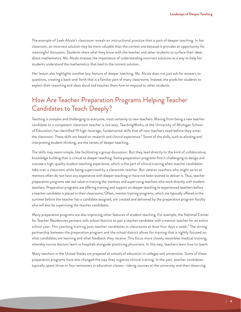The example of Leah Alcala's classroom reveals an instructional practice that is part of deeper teaching. In her classroom, an incorrect solution may be more valuable than the correct one because it provides an opportunity for meaningful discussion. Students share what they know with the teacher and other students to surface their ideas about mathematics. Ms. Alcala stresses the importance of understanding incorrect solutions as a way to help her students understand the mathematics that lead to the correct solution.

Her lesson also highlights another key feature of deeper teaching. Ms. Alcala does not just ask for answers to questions, creating a back-and-forth that is a familiar part of many classrooms. Instead, she prods her students to explain their reasoning and ideas aloud and teaches them how to respond to other students.

# How Are Teacher Preparation Programs Helping Teacher Candidates to Teach Deeply?

Teaching is complex and challenging to everyone, most certainly to new teachers. Moving from being a new teacher candidate to a competent classroom teacher is not easy. TeachingWorks, at the University of Michigan School of Education, has identified 19 high-leverage, fundamental skills that all new teachers need before they enter the classroom. These skills are based on research and clinical experience.<sup>5</sup> Some of the skills, such as eliciting and interpreting student thinking, are the tenets of deeper teaching.

The skills may seem simple, like facilitating a group discussion. But they lead directly to the kind of collaborative, knowledge building that is critical to deeper teaching. Some preparation programs find it challenging to design and oversee a high-quality student teaching experience, which is the part of clinical training when teacher candidates take over a classroom while being supervised by a classroom teacher. But veteran teachers who might serve as mentors often do not have any experience with deeper teaching or have not been trained to deliver it. Thus, teacher preparation programs see real value in training the mentors and supervising teachers who work directly with student teachers. Preparation programs are ofering training and support on deeper teaching to experienced teachers before a teacher candidate is placed in their classrooms. Often, mentor training programs, which are typically ofered in the summer before the teacher has a candidate assigned, are created and delivered by the preparation program faculty who will also be supervising the teacher candidates.

Many preparation programs are also improving other features of student teaching. For example, the National Center for Teacher Residencies partners with school districts to pair a teacher candidate with a mentor teacher for an entire school year. This yearlong training puts teacher candidates in classrooms at least four days a week.<sup>6</sup> The strong partnership between the preparation program and the school district allows for training that is tightly focused on what candidates are learning and what feedback they receive. This focus more closely resembles medical training, whereby novice doctors learn in hospitals alongside practicing physicians. In this way, teachers learn how to teach.

Many teachers in the United States are prepared at schools of education in colleges and universities. Some of these preparation programs have also changed the way they organize clinical training. In the past, teacher candidates typically spent three or four semesters in education classes—taking courses at the university and then observing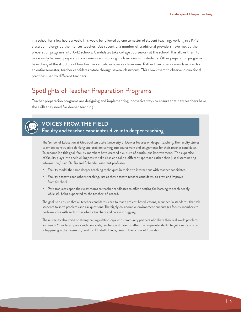in a school for a few hours a week. This would be followed by one semester of student teaching, working in a K–12 classroom alongside the mentor teacher. But recently, a number of traditional providers have moved their preparation programs into K–12 schools. Candidates take college coursework at the school. This allows them to move easily between preparation coursework and working in classrooms with students. Other preparation programs have changed the structure of how teacher candidates observe classrooms. Rather than observe one classroom for an entire semester, teacher candidates rotate through several classrooms. This allows them to observe instructional practices used by diferent teachers.

# Spotlights of Teacher Preparation Programs

Teacher preparation programs are designing and implementing innovative ways to ensure that new teachers have the skills they need for deeper teaching.



# **VOICES FROM THE FIELD** Faculty and teacher candidates dive into deeper teaching

The School of Education at Metropolitan State University of Denver focuses on deeper teaching. The faculty strives to embed constructive thinking and problem solving into coursework and assignments for their teacher candidates. To accomplish this goal, faculty members have created a culture of continuous improvement. "The expertise of faculty plays into their willingness to take risks and take a diferent approach rather than just disseminating information," said Dr. Roland Schendel, assistant professor.

- Faculty model the same deeper teaching techniques in their own interactions with teacher candidates.
- Faculty observe each other's teaching, just as they observe teacher candidates, to grow and improve from feedback.
- Past graduates open their classrooms to teacher candidates to offer a setting for learning to teach deeply, while still being supported by the teacher-of-record.

The goal is to ensure that all teacher candidates learn to teach project-based lessons, grounded in standards, that ask students to solve problems and ask questions. The highly collaborative environment encourages faculty members to problem solve with each other when a teacher candidate is struggling.

The university also works on strengthening relationships with community partners who share their real-world problems and needs. "Our faculty work with principals, teachers, and parents rather than superintendents, to get a sense of what is happening in the classroom," said Dr. Elizabeth Hinde, dean of the School of Education.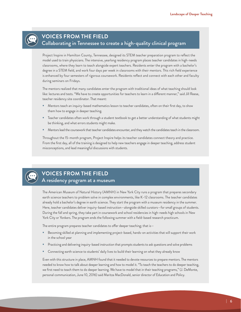

#### **VOICES FROM THE FIELD**

#### Collaborating in Tennessee to create a high-quality clinical program

Project Inspire in Hamilton County, Tennessee, designed its STEM teacher preparation program to reflect the model used to train physicians. The intensive, yearlong residency program places teacher candidates in high-needs classrooms, where they learn to teach alongside expert teachers. Residents enter the program with a bachelor's degree in a STEM field, and work four days per week in classrooms with their mentors. This rich field experience is enhanced by four semesters of rigorous coursework. Residents reflect and connect with each other and faculty during seminars on Fridays.

The mentors realized that many candidates enter the program with traditional ideas of what teaching should look like: lectures and tests. "We have to create opportunities for teachers to learn in a diferent manner," said Jill Reese, teacher residency site coordinator. That meant:

- Mentors teach an inquiry-based mathematics lesson to teacher candidates, often on their first day, to show them how to engage in deeper teaching.
- Teacher candidates often work through a student textbook to get a better understanding of what students might be thinking, and what errors students might make.
- Mentors lead the coursework that teacher candidates encounter, and they watch the candidates teach in the classroom.

Throughout the 15-month program, Project Inspire helps its teacher candidates connect theory and practice. From the first day, all of the training is designed to help new teachers engage in deeper teaching, address student misconceptions, and lead meaningful discussions with students.



# **VOICES FROM THE FIELD**

#### A residency program at a museum

The American Museum of Natural History (AMNH) in New York City runs a program that prepares secondary earth science teachers to problem solve in complex environments, like K–12 classrooms. The teacher candidates already hold a bachelor's degree in earth science. They start the program with a museum residency in the summer. Here, teacher candidates deliver inquiry-based instruction—alongside skilled curators—for small groups of students. During the fall and spring, they take part in coursework and school residencies in high-needs high schools in New York City or Yonkers. The program ends the following summer with a field-based research practicum.

The entire program prepares teacher candidates to offer deeper teaching; that is-

- Becoming skilled at planning and implementing project-based, hands-on activities that will support their work in the school year
- Practicing and delivering inquiry-based instruction that prompts students to ask questions and solve problems
- Connecting earth science to students' daily lives to build their learning on what they already know

Even with this structure in place, AMNH found that it needed to devote resources to prepare mentors. The mentors needed to know how to talk about deeper learning and how to model it. "To teach the teachers to do deeper teaching, we first need to teach them to do deeper learning. We have to model that in their teaching programs," (J. DeMonte, personal communication, June 10, 2016) said Maritza MacDonald, senior director of Education and Policy.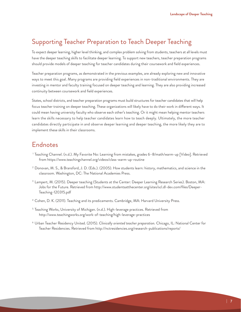# Supporting Teacher Preparation to Teach Deeper Teaching

To expect deeper learning, higher level thinking, and complex problem solving from students, teachers at all levels must have the deeper teaching skills to facilitate deeper learning. To support new teachers, teacher preparation programs should provide models of deeper teaching for teacher candidates during their coursework and field experiences.

Teacher preparation programs, as demonstrated in the previous examples, are already exploring new and innovative ways to meet this goal. Many programs are providing field experiences in non-traditional environments. They are investing in mentor and faculty training focused on deeper teaching and learning. They are also providing increased continuity between coursework and field experiences.

States, school districts, and teacher preparation programs must build structures for teacher candidates that will help focus teacher training on deeper teaching. These organizations will likely have to do their work in diferent ways. It could mean having university faculty who observe each other's teaching. Or it might mean helping mentor teachers learn the skills necessary to help teacher candidates learn how to teach deeply. Ultimately, the more teacher candidates directly participate in and observe deeper learning and deeper teaching, the more likely they are to implement these skills in their classrooms.

# Endnotes

- <sup>1</sup> Teaching Channel. (n.d.). My Favorite No: Learning from mistakes, grades 6–8/math/warm-up [Video]. Retrieved from https://www.teachingchannel.org/videos/class-warm-up-routine
- $^2$  Donovan, M. S., & Bransford, J. D. (Eds.). (2005). How students learn: history, mathematics, and science in the classroom. Washington, DC: The National Academies Press.
- <sup>3</sup> Lampert, M. (2015). Deeper teaching (Students at the Center: Deeper Learning Research Series). Boston, MA: Jobs for the Future. Retrieved from http://www.studentsatthecenter.org/sites/scl.dl-dev.com/files/Deeper-Teaching-120315.pdf
- <sup>4</sup> Cohen, D. K. (2011). Teaching and its predicaments. Cambridge, MA: Harvard University Press.
- <sup>5</sup> Teaching Works, University of Michigan. (n.d.). High-leverage practices. Retrieved from http://www.teachingworks.org/work-of-teaching/high-leverage-practices
- <sup>6</sup> Urban Teacher Residency United. (2015). *Clinically oriented teacher preparation.* Chicago, IL: National Center for Teacher Residencies. Retrieved from http://nctresidencies.org/research-publications/reports/